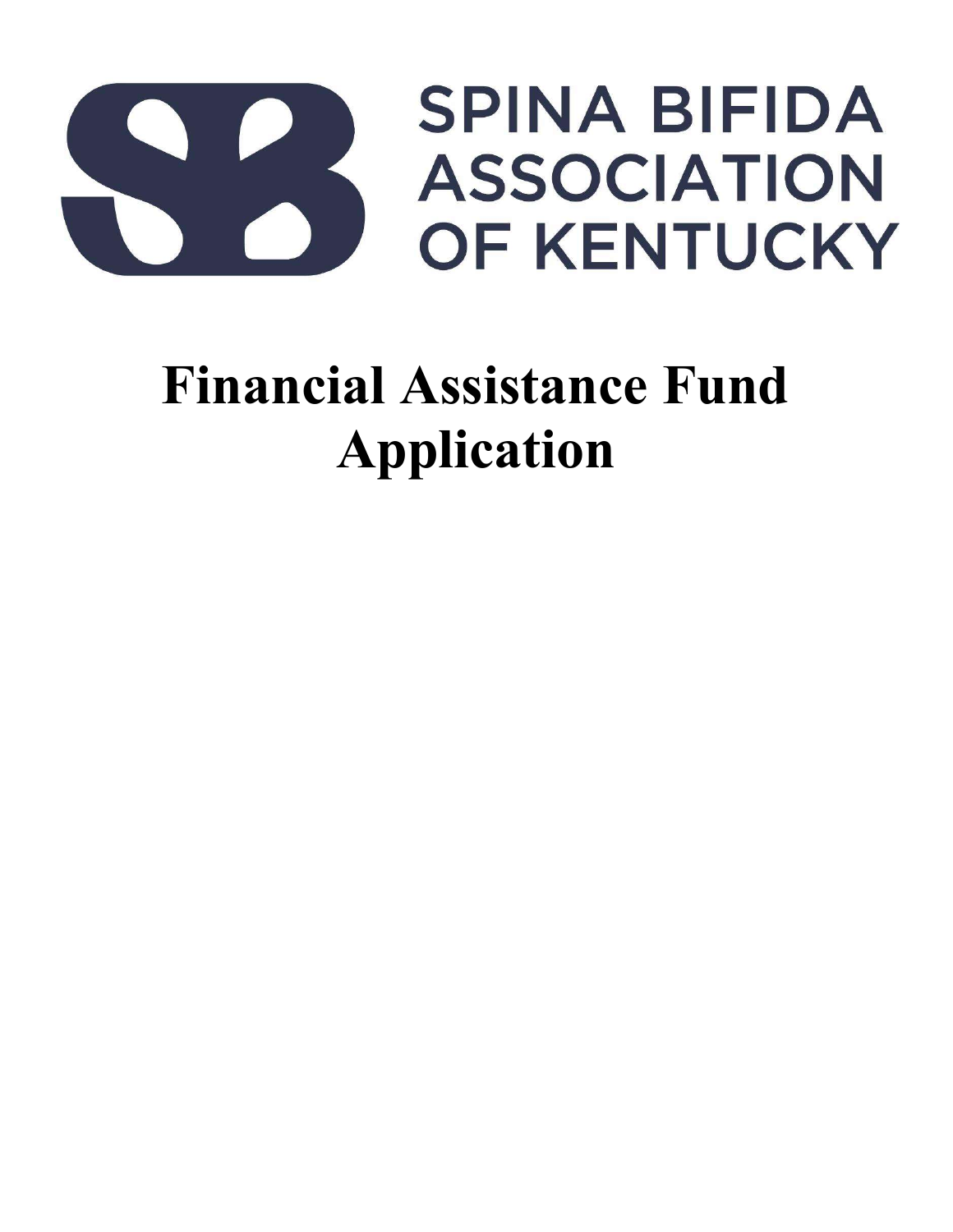

# Financial Assistance Fund Application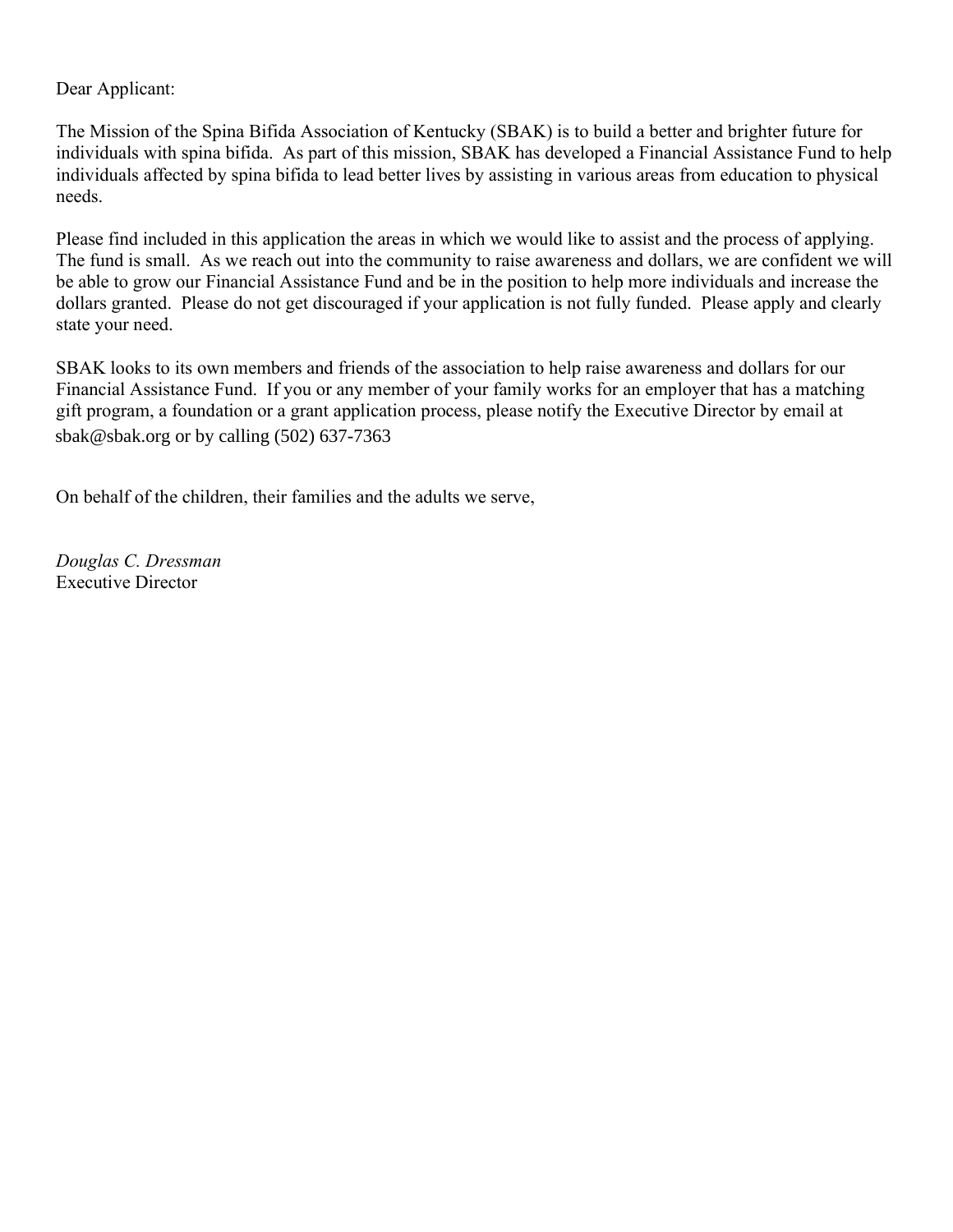#### Dear Applicant:

The Mission of the Spina Bifida Association of Kentucky (SBAK) is to build a better and brighter future for individuals with spina bifida. As part of this mission, SBAK has developed a Financial Assistance Fund to help individuals affected by spina bifida to lead better lives by assisting in various areas from education to physical needs.

Please find included in this application the areas in which we would like to assist and the process of applying. The fund is small. As we reach out into the community to raise awareness and dollars, we are confident we will be able to grow our Financial Assistance Fund and be in the position to help more individuals and increase the dollars granted. Please do not get discouraged if your application is not fully funded. Please apply and clearly state your need.

SBAK looks to its own members and friends of the association to help raise awareness and dollars for our Financial Assistance Fund. If you or any member of your family works for an employer that has a matching gift program, a foundation or a grant application process, please notify the Executive Director by email at sbak.org or by calling (502) 637-7363. sbak@sbak.org or by calling (502) 637-7363

On behalf of the children, their families and the adults we serve,

Douglas C. Dressman Executive Director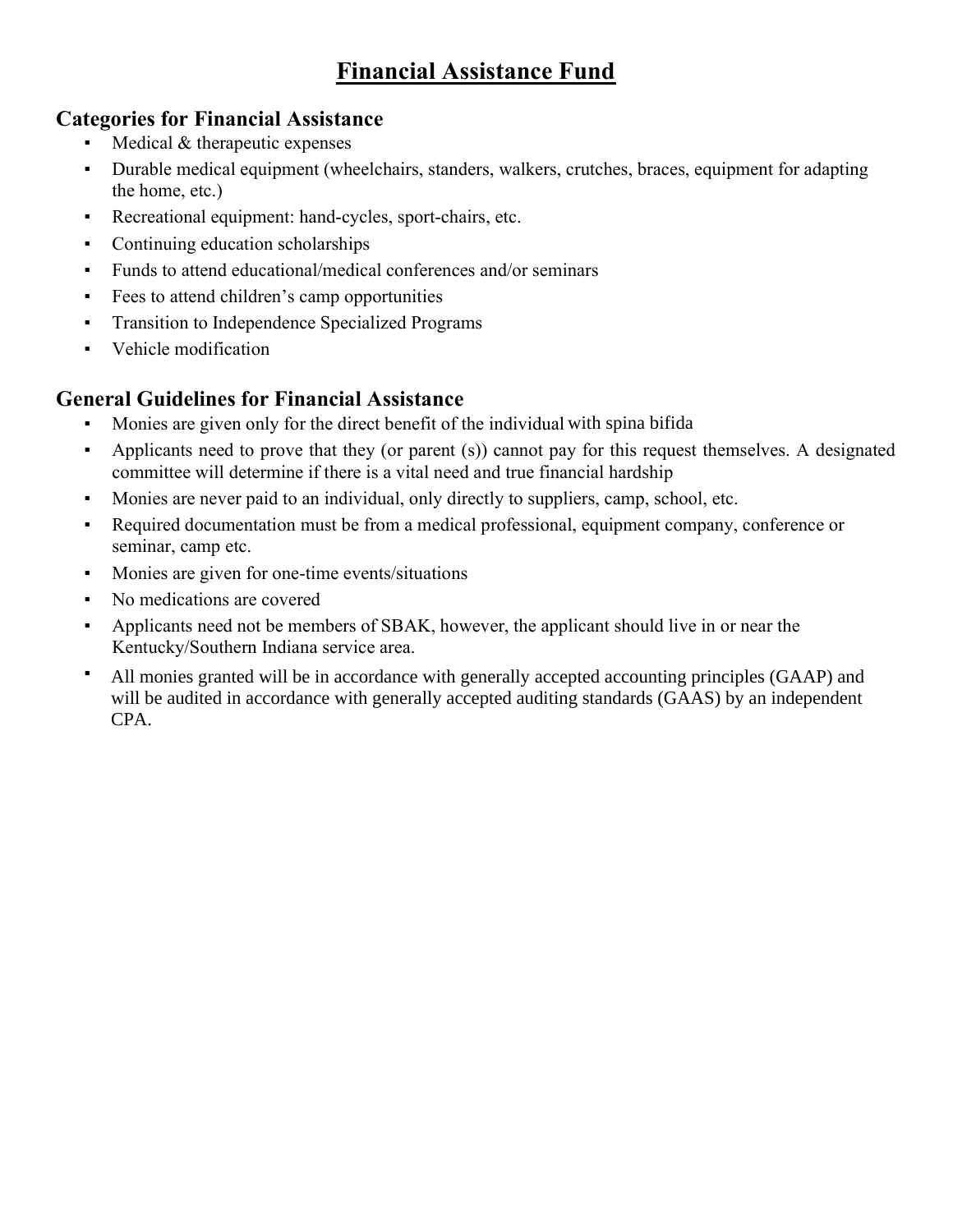## Financial Assistance Fund

#### Categories for Financial Assistance

- Medical & therapeutic expenses
- Durable medical equipment (wheelchairs, standers, walkers, crutches, braces, equipment for adapting the home, etc.)
- Recreational equipment: hand-cycles, sport-chairs, etc.
- Continuing education scholarships
- Funds to attend educational/medical conferences and/or seminars
- Fees to attend children's camp opportunities
- **•** Transition to Independence Specialized Programs
- Vehicle modification

#### General Guidelines for Financial Assistance

- Monies are given only for the direct benefit of the individual with spina bifida
- Applicants need to prove that they (or parent (s)) cannot pay for this request themselves. A designated committee will determine if there is a vital need and true financial hardship
- Monies are never paid to an individual, only directly to suppliers, camp, school, etc.
- Required documentation must be from a medical professional, equipment company, conference or seminar, camp etc.
- Monies are given for one-time events/situations
- No medications are covered
- Applicants need not be members of SBAK, however, the applicant should live in or near the Kentucky/Southern Indiana service area.
- <sup>•</sup> All monies granted will be in accordance with generally accepted accounting principles (GAAP) and will be audited in accordance with generally accepted auditing standards (GAAS) by an independent  $CPA$ . CPA.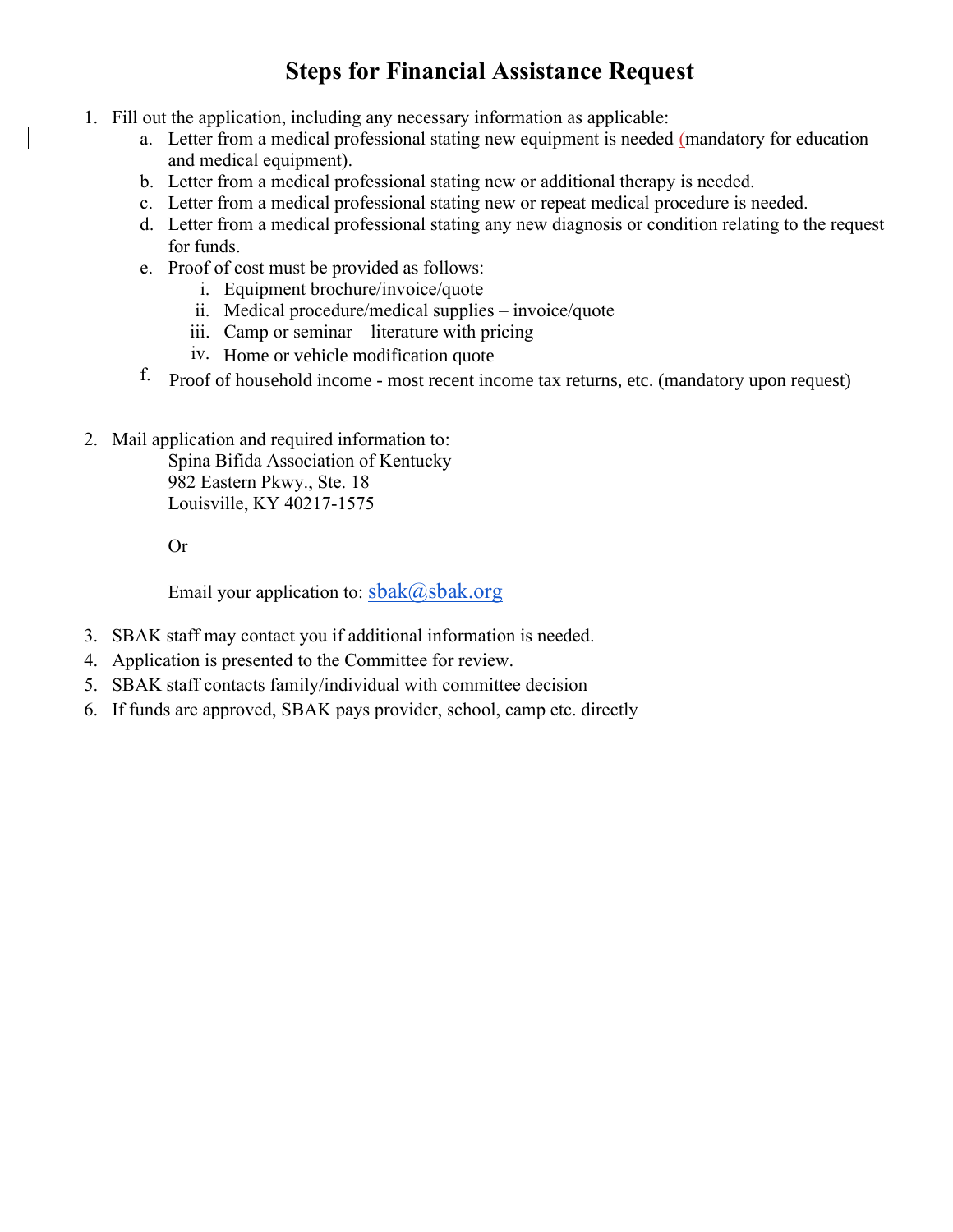### Steps for Financial Assistance Request

- 1. Fill out the application, including any necessary information as applicable:
	- a. Letter from a medical professional stating new equipment is needed (mandatory for education and medical equipment).
	- b. Letter from a medical professional stating new or additional therapy is needed.
	- c. Letter from a medical professional stating new or repeat medical procedure is needed.
	- d. Letter from a medical professional stating any new diagnosis or condition relating to the request for funds.
	- e. Proof of cost must be provided as follows:
		- i. Equipment brochure/invoice/quote
		- ii. Medical procedure/medical supplies invoice/quote
		- iii. Camp or seminar literature with pricing
		- iv. Home or vehicle modification quote
	- f. Proof of household income most recent income tax returns, etc. (mandatory upon request) Proof of household income - most recent income tax returns, etc. (mandatory upon request)
- 2. Mail application and required information to:

Spina Bifida Association of Kentucky 982 Eastern Pkwy., Ste. 18 Louisville, KY 40217-1575

Or

Email your application to:  $\text{sbak}(\omega)$ sbak.org

- 3. SBAK staff may contact you if additional information is needed.
- 4. Application is presented to the Committee for review.
- 5. SBAK staff contacts family/individual with committee decision
- 6. If funds are approved, SBAK pays provider, school, camp etc. directly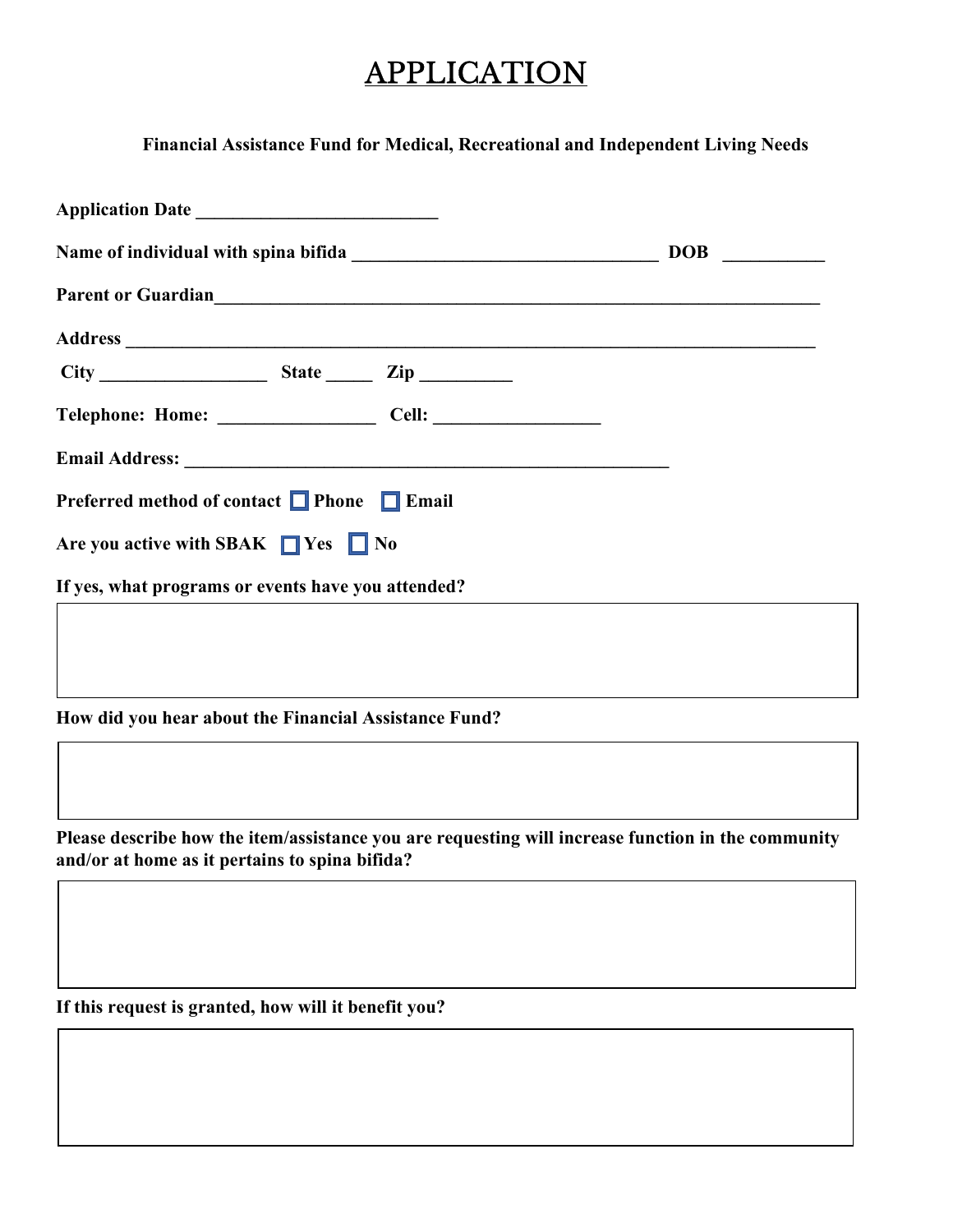# **APPLICATION**

Financial Assistance Fund for Medical, Recreational and Independent Living Needs

| Parent or Guardian<br><u>Example 2014</u>             |  |
|-------------------------------------------------------|--|
|                                                       |  |
|                                                       |  |
|                                                       |  |
|                                                       |  |
| Preferred method of contact □ Phone □ Email           |  |
| Are you active with SBAK $\Box$ Yes $\Box$ No         |  |
| If yes, what programs or events have you attended?    |  |
|                                                       |  |
|                                                       |  |
| How did you hear about the Financial Assistance Fund? |  |
|                                                       |  |

Please describe how the item/assistance you are requesting will increase function in the community and/or at home as it pertains to spina bifida?

If this request is granted, how will it benefit you?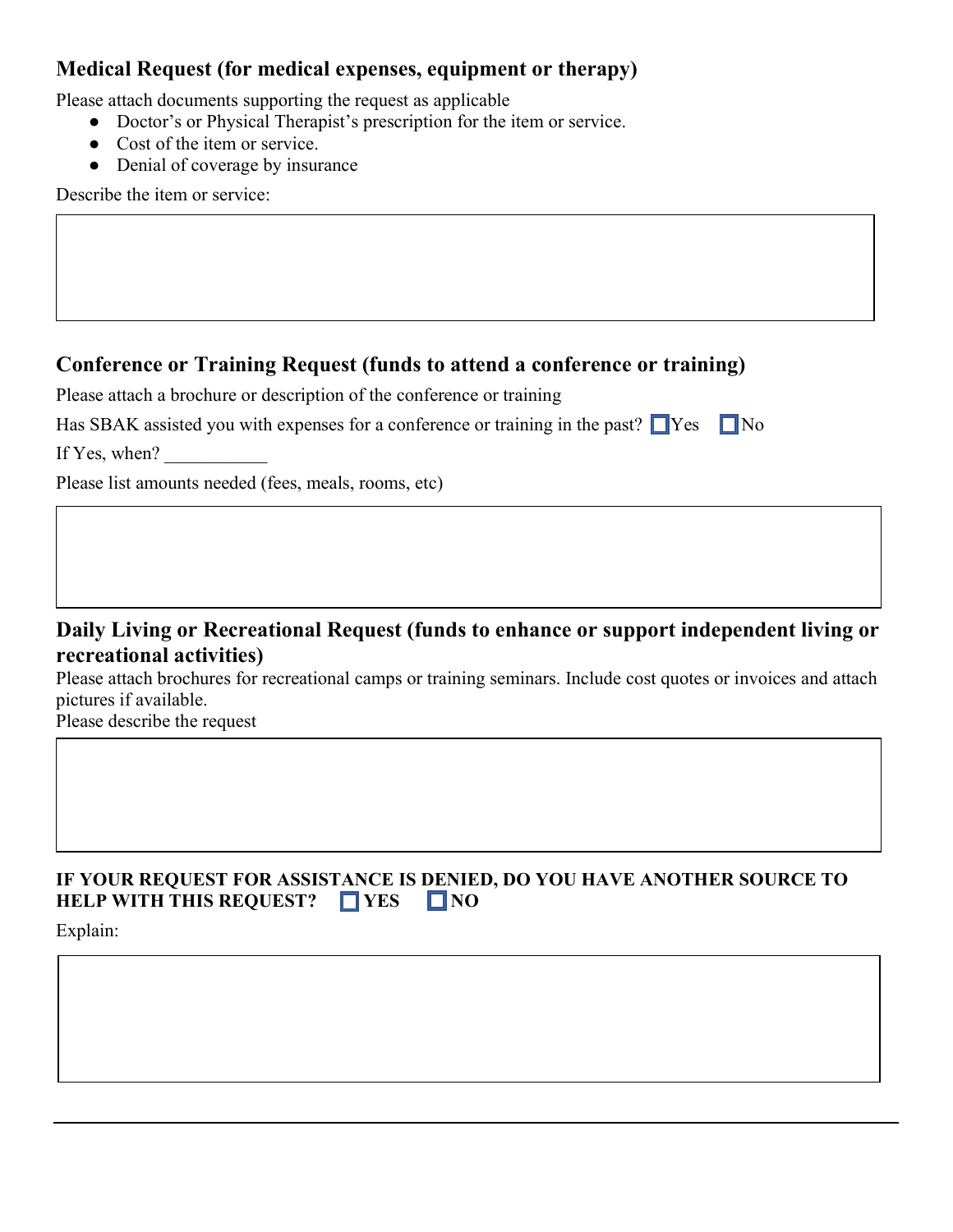#### Medical Request (for medical expenses, equipment or therapy)

Please attach documents supporting the request as applicable

- Doctor's or Physical Therapist's prescription for the item or service.
- Cost of the item or service.
- Denial of coverage by insurance

Describe the item or service:

#### Conference or Training Request (funds to attend a conference or training)

Please attach a brochure or description of the conference or training

|  |  |  |  | Has SBAK assisted you with expenses for a conference or training in the past? $\Box$ Yes $\Box$ No |  |  |
|--|--|--|--|----------------------------------------------------------------------------------------------------|--|--|
|--|--|--|--|----------------------------------------------------------------------------------------------------|--|--|

If Yes, when?

Please list amounts needed (fees, meals, rooms, etc)

#### Daily Living or Recreational Request (funds to enhance or support independent living or recreational activities)

Please attach brochures for recreational camps or training seminars. Include cost quotes or invoices and attach pictures if available.

Please describe the request

#### IF YOUR REQUEST FOR ASSISTANCE IS DENIED, DO YOU HAVE ANOTHER SOURCE TO HELP WITH THIS REQUEST?  $\Box$  YES  $\Box$  NO

Explain: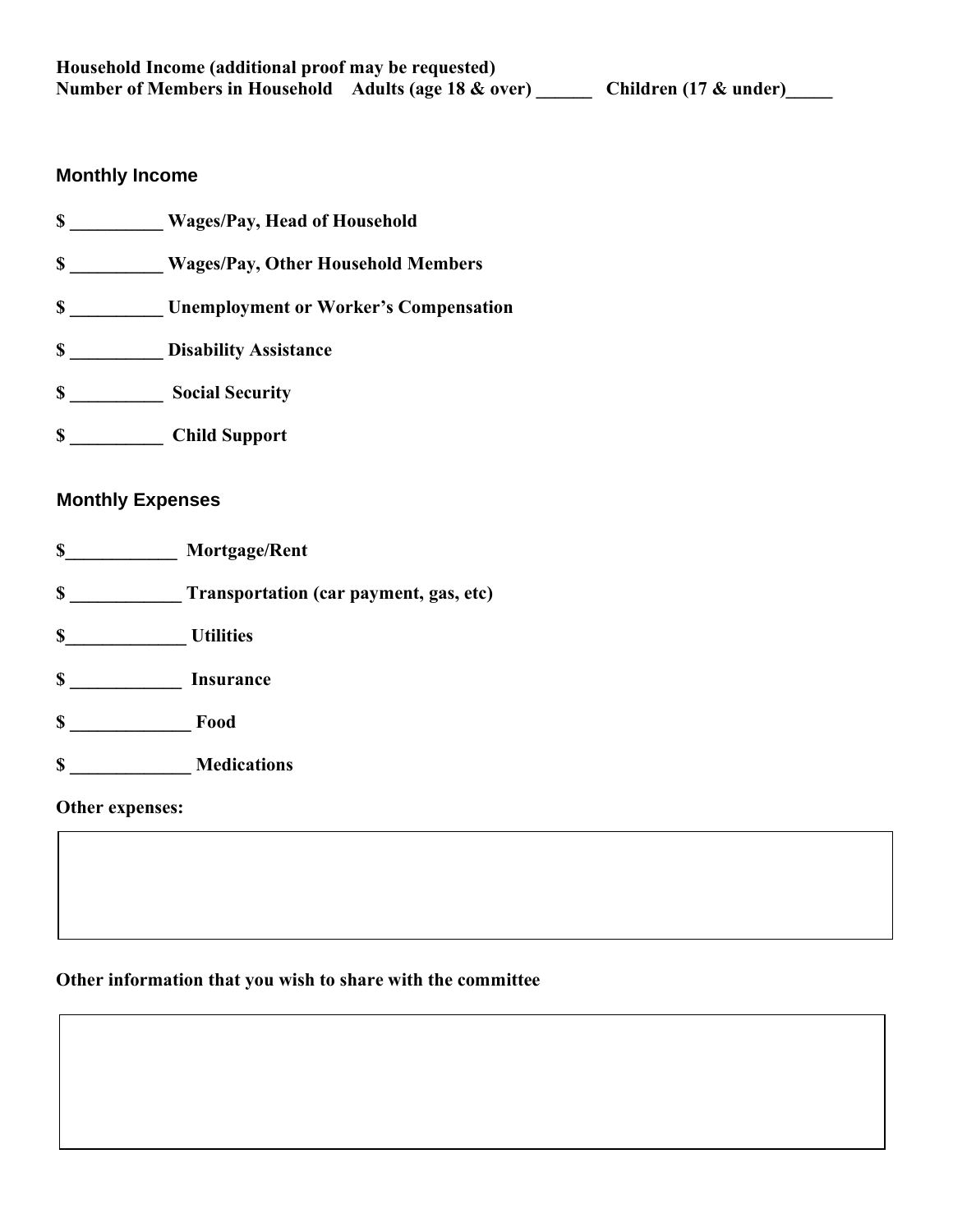#### **Monthly Income**

- \$ \_\_\_\_\_\_\_\_\_\_ Wages/Pay, Head of Household \$ \_\_\_\_\_\_\_\_\_\_ Wages/Pay, Other Household Members \$ \_\_\_\_\_\_\_\_\_\_ Unemployment or Worker's Compensation **S** Disability Assistance \$ \_\_\_\_\_\_\_\_\_\_ Social Security
- \$ \_\_\_\_\_\_\_\_\_\_ Child Support

#### Expenses **Monthly Expenses**

- \$\_\_\_\_\_\_\_\_\_\_\_\_ Mortgage/Rent
- \$ \_\_\_\_\_\_\_\_\_\_\_\_ Transportation (car payment, gas, etc)
- \$\_\_\_\_\_\_\_\_\_\_\_\_\_ Utilities
- \$ \_\_\_\_\_\_\_\_\_\_\_\_ Insurance
- \$ \_\_\_\_\_\_\_\_\_\_\_\_\_ Food
- \$ \_\_\_\_\_\_\_\_\_\_\_\_\_ Medications

Other expenses:

#### Other information that you wish to share with the committee